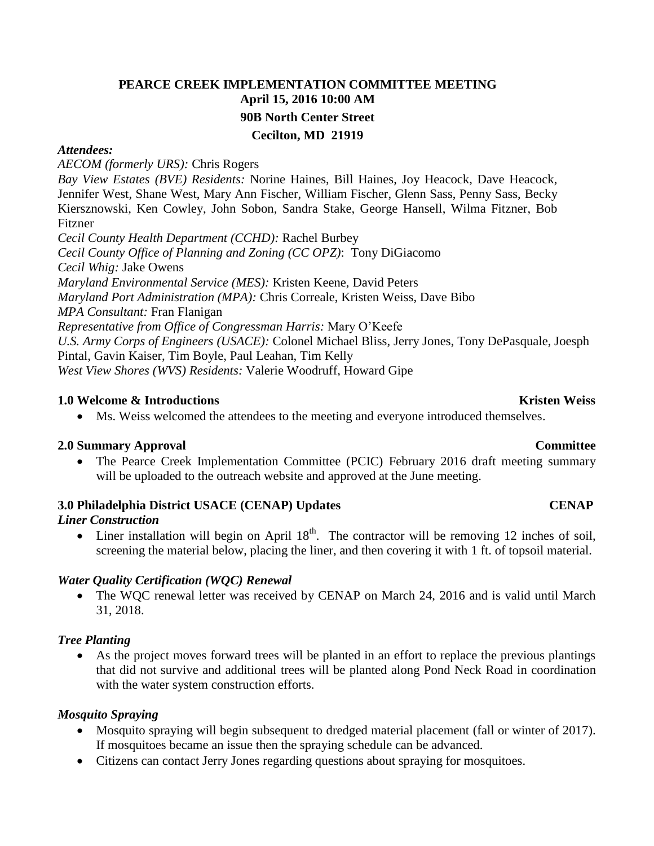## **PEARCE CREEK IMPLEMENTATION COMMITTEE MEETING April 15, 2016 10:00 AM 90B North Center Street Cecilton, MD 21919**

#### *Attendees:*

*AECOM (formerly URS):* Chris Rogers

*Bay View Estates (BVE) Residents:* Norine Haines, Bill Haines, Joy Heacock, Dave Heacock, Jennifer West, Shane West, Mary Ann Fischer, William Fischer, Glenn Sass, Penny Sass, Becky Kiersznowski, Ken Cowley, John Sobon, Sandra Stake, George Hansell, Wilma Fitzner, Bob Fitzner

*Cecil County Health Department (CCHD):* Rachel Burbey

*Cecil County Office of Planning and Zoning (CC OPZ)*: Tony DiGiacomo

*Cecil Whig:* Jake Owens

*Maryland Environmental Service (MES):* Kristen Keene, David Peters

*Maryland Port Administration (MPA):* Chris Correale, Kristen Weiss, Dave Bibo

*MPA Consultant:* Fran Flanigan

*Representative from Office of Congressman Harris:* Mary O'Keefe

*U.S. Army Corps of Engineers (USACE):* Colonel Michael Bliss, Jerry Jones, Tony DePasquale, Joesph Pintal, Gavin Kaiser, Tim Boyle, Paul Leahan, Tim Kelly

*West View Shores (WVS) Residents:* Valerie Woodruff, Howard Gipe

#### **1.0 Welcome & Introductions Kristen Weiss**

Ms. Weiss welcomed the attendees to the meeting and everyone introduced themselves.

## **2.0 Summary Approval Committee**

 The Pearce Creek Implementation Committee (PCIC) February 2016 draft meeting summary will be uploaded to the outreach website and approved at the June meeting.

## **3.0** Philadelphia District USACE (CENAP) Updates CENAP

## *Liner Construction*

• Liner installation will begin on April  $18<sup>th</sup>$ . The contractor will be removing 12 inches of soil, screening the material below, placing the liner, and then covering it with 1 ft. of topsoil material.

## *Water Quality Certification (WQC) Renewal*

 The WQC renewal letter was received by CENAP on March 24, 2016 and is valid until March 31, 2018.

## *Tree Planting*

 As the project moves forward trees will be planted in an effort to replace the previous plantings that did not survive and additional trees will be planted along Pond Neck Road in coordination with the water system construction efforts.

## *Mosquito Spraying*

- Mosquito spraying will begin subsequent to dredged material placement (fall or winter of 2017). If mosquitoes became an issue then the spraying schedule can be advanced.
- Citizens can contact Jerry Jones regarding questions about spraying for mosquitoes.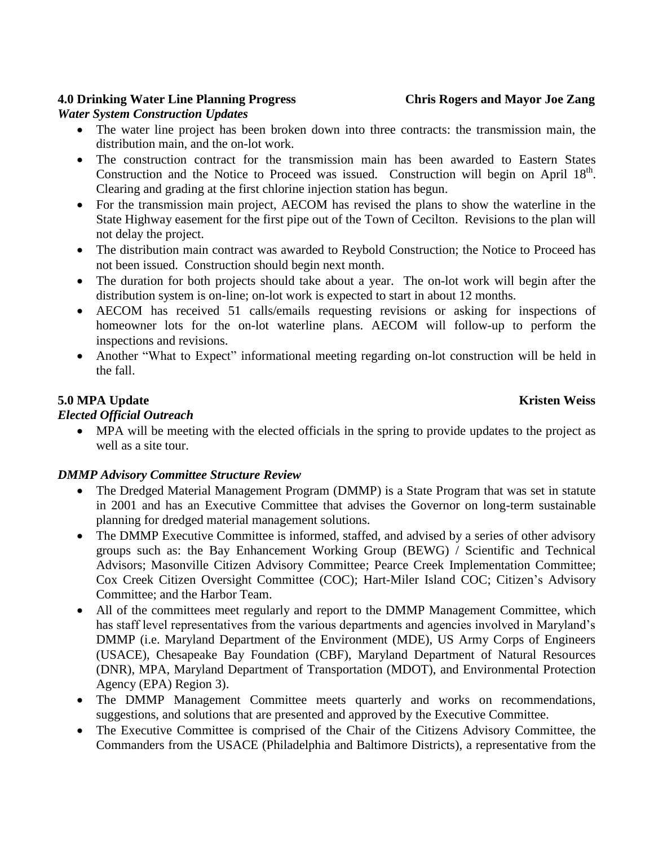## **4.0 Drinking Water Line Planning Progress Chris Rogers and Mayor Joe Zang**

#### *Water System Construction Updates*

- The water line project has been broken down into three contracts: the transmission main, the distribution main, and the on-lot work.
- The construction contract for the transmission main has been awarded to Eastern States Construction and the Notice to Proceed was issued. Construction will begin on April  $18<sup>th</sup>$ . Clearing and grading at the first chlorine injection station has begun.
- For the transmission main project, AECOM has revised the plans to show the waterline in the State Highway easement for the first pipe out of the Town of Cecilton. Revisions to the plan will not delay the project.
- The distribution main contract was awarded to Reybold Construction; the Notice to Proceed has not been issued. Construction should begin next month.
- The duration for both projects should take about a year. The on-lot work will begin after the distribution system is on-line; on-lot work is expected to start in about 12 months.
- AECOM has received 51 calls/emails requesting revisions or asking for inspections of homeowner lots for the on-lot waterline plans. AECOM will follow-up to perform the inspections and revisions.
- Another "What to Expect" informational meeting regarding on-lot construction will be held in the fall.

## **5.0 MPA Update** Kristen Weiss

## *Elected Official Outreach*

 MPA will be meeting with the elected officials in the spring to provide updates to the project as well as a site tour.

## *DMMP Advisory Committee Structure Review*

- The Dredged Material Management Program (DMMP) is a State Program that was set in statute in 2001 and has an Executive Committee that advises the Governor on long-term sustainable planning for dredged material management solutions.
- The DMMP Executive Committee is informed, staffed, and advised by a series of other advisory groups such as: the Bay Enhancement Working Group (BEWG) / Scientific and Technical Advisors; Masonville Citizen Advisory Committee; Pearce Creek Implementation Committee; Cox Creek Citizen Oversight Committee (COC); Hart-Miler Island COC; Citizen's Advisory Committee; and the Harbor Team.
- All of the committees meet regularly and report to the DMMP Management Committee, which has staff level representatives from the various departments and agencies involved in Maryland's DMMP (i.e. Maryland Department of the Environment (MDE), US Army Corps of Engineers (USACE), Chesapeake Bay Foundation (CBF), Maryland Department of Natural Resources (DNR), MPA, Maryland Department of Transportation (MDOT), and Environmental Protection Agency (EPA) Region 3).
- The DMMP Management Committee meets quarterly and works on recommendations, suggestions, and solutions that are presented and approved by the Executive Committee.
- The Executive Committee is comprised of the Chair of the Citizens Advisory Committee, the Commanders from the USACE (Philadelphia and Baltimore Districts), a representative from the